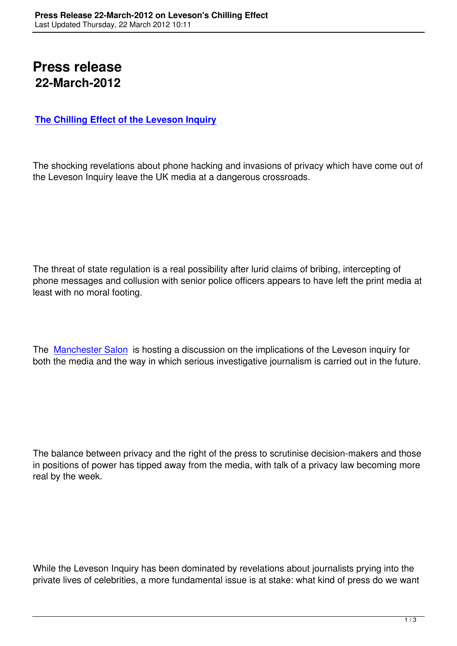## **Press release 22-March-2012**

## **The Chilling Effect of the Leveson Inquiry**

[The shocking revelations about phone hackin](leveson-chilling-press-freedom.html)g and invasions of privacy which have come out of the Leveson Inquiry leave the UK media at a dangerous crossroads.

The threat of state regulation is a real possibility after lurid claims of bribing, intercepting of phone messages and collusion with senior police officers appears to have left the print media at least with no moral footing.

The Manchester Salon is hosting a discussion on the implications of the Leveson inquiry for both the media and the way in which serious investigative journalism is carried out in the future.

The balance between privacy and the right of the press to scrutinise decision-makers and those in positions of power has tipped away from the media, with talk of a privacy law becoming more real by the week.

While the Leveson Inquiry has been dominated by revelations about journalists prying into the private lives of celebrities, a more fundamental issue is at stake: what kind of press do we want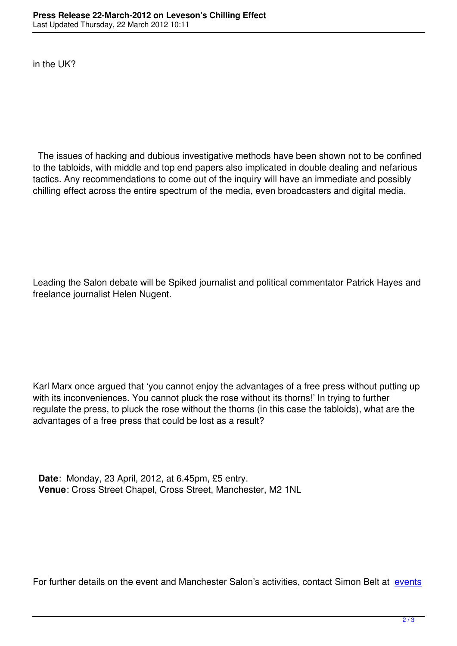The issues of hacking and dubious investigative methods have been shown not to be confined to the tabloids, with middle and top end papers also implicated in double dealing and nefarious tactics. Any recommendations to come out of the inquiry will have an immediate and possibly chilling effect across the entire spectrum of the media, even broadcasters and digital media.

Leading the Salon debate will be Spiked journalist and political commentator Patrick Hayes and freelance journalist Helen Nugent.

Karl Marx once argued that 'you cannot enjoy the advantages of a free press without putting up with its inconveniences. You cannot pluck the rose without its thorns!' In trying to further regulate the press, to pluck the rose without the thorns (in this case the tabloids), what are the advantages of a free press that could be lost as a result?

 **Date**: Monday, 23 April, 2012, at 6.45pm, £5 entry. **Venue**: Cross Street Chapel, Cross Street, Manchester, M2 1NL

For further details on the event and Manchester Salon's activities, contact Simon Belt at events